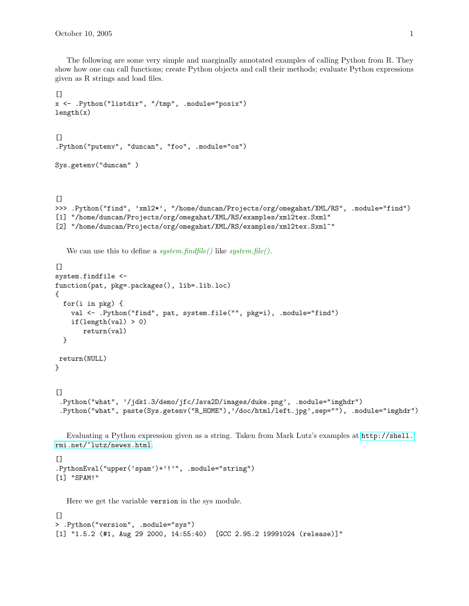The following are some very simple and marginally annotated examples of calling Python from R. They show how one can call functions; create Python objects and call their methods; evaluate Python expressions given as R strings and load files.

```
\Boxx <- .Python("listdir", "/tmp", .module="posix")
length(x)\lceil]
.Python("putenv", "duncan", "foo", .module="os")
Sys.getenv("duncan" )
[>>> .Python("find", 'xml2*', "/home/duncan/Projects/org/omegahat/XML/RS", .module="find")
[1] "/home/duncan/Projects/org/omegahat/XML/RS/examples/xml2tex.Sxml"
[2] "/home/duncan/Projects/org/omegahat/XML/RS/examples/xml2tex.Sxml~"
  We can use this to define a system.findfile() like system.file().
\Boxsystem.findfile <-
function(pat, pkg=.packages(), lib=.lib.loc)
{
 for(i in pkg) {
    val <- .Python("find", pat, system.file("", pkg=i), .module="find")
    if(length(val) > 0)return(val)
  }
return(NULL)
}
[.Python("what", '/jdk1.3/demo/jfc/Java2D/images/duke.png', .module="imghdr")
 .Python("what", paste(Sys.getenv("R_HOME"),'/doc/html/left.jpg',sep=""), .module="imghdr")
```
Evaluating a Python expression given as a string. Taken from Mark Lutz's examples at [http://shell.](http://shell.rmi.net/~lutz/newex.html) [rmi.net/~lutz/newex.html](http://shell.rmi.net/~lutz/newex.html).

```
\Box.PythonEval("upper('spam')+'!'", .module="string")
[1] "SPAM!"
```
Here we get the variable version in the sys module.

```
[]
> .Python("version", .module="sys")
[1] "1.5.2 (#1, Aug 29 2000, 14:55:40) [GCC 2.95.2 19991024 (release)]"
```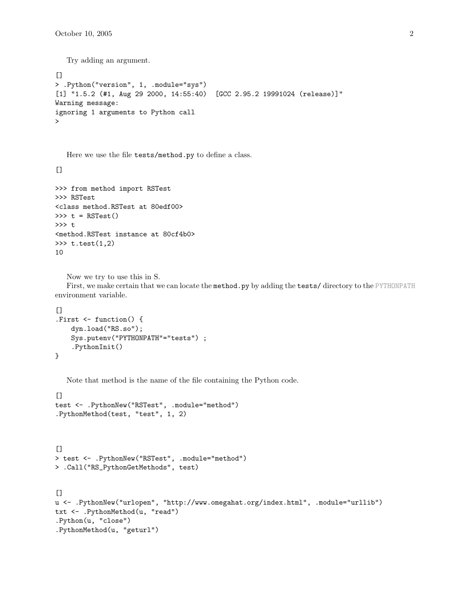Try adding an argument.

```
[> .Python("version", 1, .module="sys")
[1] "1.5.2 (#1, Aug 29 2000, 14:55:40) [GCC 2.95.2 19991024 (release)]"
Warning message:
ignoring 1 arguments to Python call
>
```
Here we use the file tests/method.py to define a class.

 $[$ 

```
>>> from method import RSTest
>>> RSTest
<class method.RSTest at 80edf00>
\gg t = RSTest()
>>> t
<method.RSTest instance at 80cf4b0>
>> t.test(1,2)10
```

```
Now we try to use this in S.
```
First, we make certain that we can locate the method.py by adding the tests/ directory to the PYTHONPATH environment variable.

```
\lceil]
.First <- function() {
    dyn.load("RS.so");
    Sys.putenv("PYTHONPATH"="tests") ;
    .PythonInit()
}
```
Note that method is the name of the file containing the Python code.

```
[test <- .PythonNew("RSTest", .module="method")
.PythonMethod(test, "test", 1, 2)
```

```
\Box> test <- .PythonNew("RSTest", .module="method")
> .Call("RS_PythonGetMethods", test)
```

```
[u <- .PythonNew("urlopen", "http://www.omegahat.org/index.html", .module="urllib")
txt <- .PythonMethod(u, "read")
.Python(u, "close")
.PythonMethod(u, "geturl")
```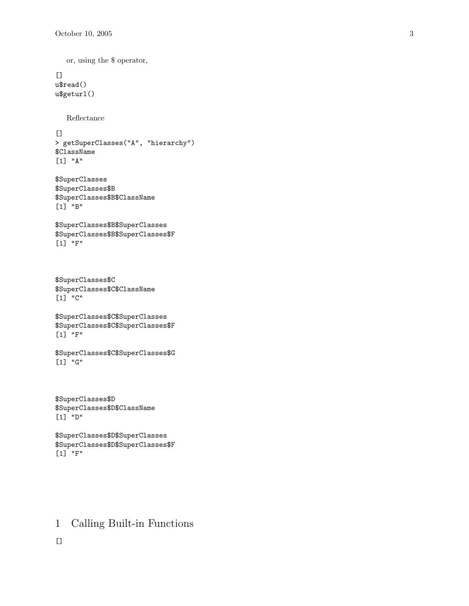or, using the \$ operator,

 $[$ u\$read() u\$geturl()

Reflectance

 $[$ 

```
> getSuperClasses("A", "hierarchy")
$ClassName
[1] "A"
```

```
$SuperClasses
$SuperClasses$B
$SuperClasses$B$ClassName
[1] "B"
```

```
$SuperClasses$B$SuperClasses
$SuperClasses$B$SuperClasses$F
[1] "F"
```

```
$SuperClasses$C
$SuperClasses$C$ClassName
[1] "C"
```

```
$SuperClasses$C$SuperClasses
$SuperClasses$C$SuperClasses$F
[1] "F"
```
\$SuperClasses\$C\$SuperClasses\$G [1] "G"

```
$SuperClasses$D
$SuperClasses$D$ClassName
[1] "D"
```

```
$SuperClasses$D$SuperClasses
$SuperClasses$D$SuperClasses$F
[1] "F"
```
## 1 Calling Built-in Functions

 $[$